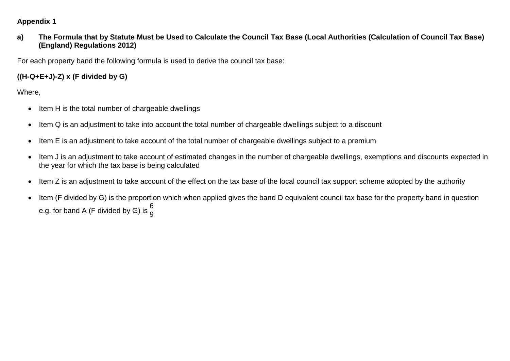## **Appendix 1**

**a) The Formula that by Statute Must be Used to Calculate the Council Tax Base (Local Authorities (Calculation of Council Tax Base) (England) Regulations 2012)**

For each property band the following formula is used to derive the council tax base:

## **((H-Q+E+J)-Z) x (F divided by G)**

Where,

- Item H is the total number of chargeable dwellings
- Item Q is an adjustment to take into account the total number of chargeable dwellings subject to a discount
- Item E is an adjustment to take account of the total number of chargeable dwellings subject to a premium
- Item J is an adjustment to take account of estimated changes in the number of chargeable dwellings, exemptions and discounts expected in the year for which the tax base is being calculated
- Item Z is an adjustment to take account of the effect on the tax base of the local council tax support scheme adopted by the authority
- Item (F divided by G) is the proportion which when applied gives the band D equivalent council tax base for the property band in question e.g. for band A (F divided by G) is  $\frac{6}{9}$